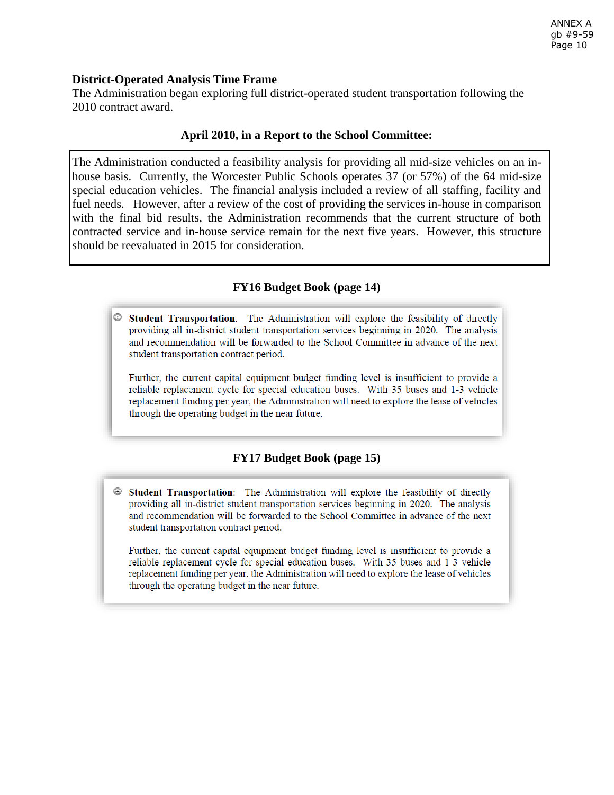## **District-Operated Analysis Time Frame**

The Administration began exploring full district-operated student transportation following the 2010 contract award.

## **April 2010, in a Report to the School Committee:**

The Administration conducted a feasibility analysis for providing all mid-size vehicles on an inhouse basis. Currently, the Worcester Public Schools operates 37 (or 57%) of the 64 mid-size special education vehicles. The financial analysis included a review of all staffing, facility and fuel needs. However, after a review of the cost of providing the services in-house in comparison with the final bid results, the Administration recommends that the current structure of both contracted service and in-house service remain for the next five years. However, this structure should be reevaluated in 2015 for consideration.

## **FY16 Budget Book (page 14)**

Student Transportation: The Administration will explore the feasibility of directly providing all in-district student transportation services beginning in 2020. The analysis and recommendation will be forwarded to the School Committee in advance of the next student transportation contract period.

Further, the current capital equipment budget funding level is insufficient to provide a reliable replacement cycle for special education buses. With 35 buses and 1-3 vehicle replacement funding per year, the Administration will need to explore the lease of vehicles through the operating budget in the near future.

# **FY17 Budget Book (page 15)**

⊕ Student Transportation: The Administration will explore the feasibility of directly providing all in-district student transportation services beginning in 2020. The analysis and recommendation will be forwarded to the School Committee in advance of the next student transportation contract period.

Further, the current capital equipment budget funding level is insufficient to provide a reliable replacement cycle for special education buses. With 35 buses and 1-3 vehicle replacement funding per year, the Administration will need to explore the lease of vehicles through the operating budget in the near future.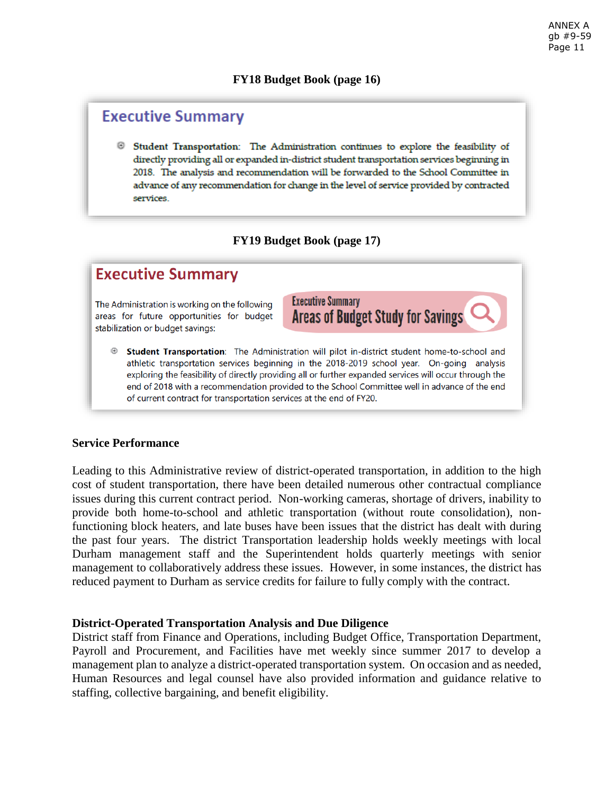## **FY18 Budget Book (page 16)**

# **Executive Summary**

Student Transportation: The Administration continues to explore the feasibility of directly providing all or expanded in-district student transportation services beginning in 2018. The analysis and recommendation will be forwarded to the School Committee in advance of any recommendation for change in the level of service provided by contracted services.

# **FY19 Budget Book (page 17)**

# **Executive Summary**

The Administration is working on the following areas for future opportunities for budget stabilization or budget savings:

- **Executive Summary Areas of Budget Study for Savings**
- Student Transportation: The Administration will pilot in-district student home-to-school and athletic transportation services beginning in the 2018-2019 school year. On-going analysis exploring the feasibility of directly providing all or further expanded services will occur through the end of 2018 with a recommendation provided to the School Committee well in advance of the end of current contract for transportation services at the end of FY20.

## **Service Performance**

Leading to this Administrative review of district-operated transportation, in addition to the high cost of student transportation, there have been detailed numerous other contractual compliance issues during this current contract period. Non-working cameras, shortage of drivers, inability to provide both home-to-school and athletic transportation (without route consolidation), nonfunctioning block heaters, and late buses have been issues that the district has dealt with during the past four years. The district Transportation leadership holds weekly meetings with local Durham management staff and the Superintendent holds quarterly meetings with senior management to collaboratively address these issues. However, in some instances, the district has reduced payment to Durham as service credits for failure to fully comply with the contract.

## **District-Operated Transportation Analysis and Due Diligence**

District staff from Finance and Operations, including Budget Office, Transportation Department, Payroll and Procurement, and Facilities have met weekly since summer 2017 to develop a management plan to analyze a district-operated transportation system. On occasion and as needed, Human Resources and legal counsel have also provided information and guidance relative to staffing, collective bargaining, and benefit eligibility.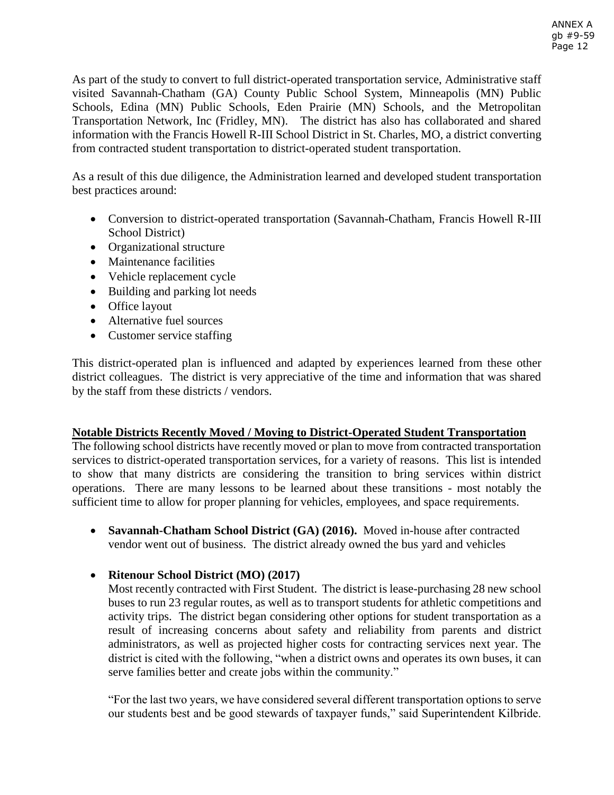As part of the study to convert to full district-operated transportation service, Administrative staff visited Savannah-Chatham (GA) County Public School System, Minneapolis (MN) Public Schools, Edina (MN) Public Schools, Eden Prairie (MN) Schools, and the Metropolitan Transportation Network, Inc (Fridley, MN). The district has also has collaborated and shared information with the Francis Howell R-III School District in St. Charles, MO, a district converting from contracted student transportation to district-operated student transportation.

As a result of this due diligence, the Administration learned and developed student transportation best practices around:

- Conversion to district-operated transportation (Savannah-Chatham, Francis Howell R-III School District)
- Organizational structure
- Maintenance facilities
- Vehicle replacement cycle
- Building and parking lot needs
- Office layout
- Alternative fuel sources
- Customer service staffing

This district-operated plan is influenced and adapted by experiences learned from these other district colleagues. The district is very appreciative of the time and information that was shared by the staff from these districts / vendors.

# **Notable Districts Recently Moved / Moving to District-Operated Student Transportation**

The following school districts have recently moved or plan to move from contracted transportation services to district-operated transportation services, for a variety of reasons. This list is intended to show that many districts are considering the transition to bring services within district operations. There are many lessons to be learned about these transitions - most notably the sufficient time to allow for proper planning for vehicles, employees, and space requirements.

 **Savannah-Chatham School District (GA) (2016).** Moved in-house after contracted vendor went out of business. The district already owned the bus yard and vehicles

**Ritenour School District (MO) (2017)**

Most recently contracted with First Student. The district is lease-purchasing 28 new school buses to run 23 regular routes, as well as to transport students for athletic competitions and activity trips. The district began considering other options for student transportation as a result of increasing concerns about safety and reliability from parents and district administrators, as well as projected higher costs for contracting services next year. The district is cited with the following, "when a district owns and operates its own buses, it can serve families better and create jobs within the community."

"For the last two years, we have considered several different transportation options to serve our students best and be good stewards of taxpayer funds," said Superintendent Kilbride.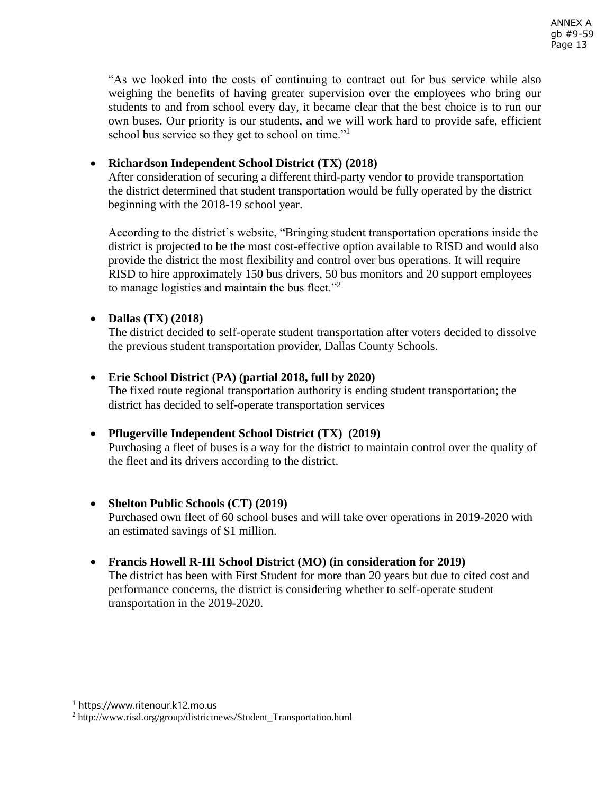"As we looked into the costs of continuing to contract out for bus service while also weighing the benefits of having greater supervision over the employees who bring our students to and from school every day, it became clear that the best choice is to run our own buses. Our priority is our students, and we will work hard to provide safe, efficient school bus service so they get to school on time."<sup>1</sup>

# **Richardson Independent School District (TX) (2018)**

After consideration of securing a different third-party vendor to provide transportation the district determined that student transportation would be fully operated by the district beginning with the 2018-19 school year.

According to the district's website, "Bringing student transportation operations inside the district is projected to be the most cost-effective option available to RISD and would also provide the district the most flexibility and control over bus operations. It will require RISD to hire approximately 150 bus drivers, 50 bus monitors and 20 support employees to manage logistics and maintain the bus fleet. $"^2$ 

## **Dallas (TX) (2018)**

The district decided to self-operate student transportation after voters decided to dissolve the previous student transportation provider, Dallas County Schools.

## **Erie School District (PA) (partial 2018, full by 2020)**

The fixed route regional transportation authority is ending student transportation; the district has decided to self-operate transportation services

# **Pflugerville Independent School District (TX) (2019)**

Purchasing a fleet of buses is a way for the district to maintain control over the quality of the fleet and its drivers according to the district.

## **Shelton Public Schools (CT) (2019)**

Purchased own fleet of 60 school buses and will take over operations in 2019-2020 with an estimated savings of \$1 million.

# **Francis Howell R-III School District (MO) (in consideration for 2019)**

The district has been with First Student for more than 20 years but due to cited cost and performance concerns, the district is considering whether to self-operate student transportation in the 2019-2020.

<sup>1</sup> https://www.ritenour.k12.mo.us

<sup>2</sup> http://www.risd.org/group/districtnews/Student\_Transportation.html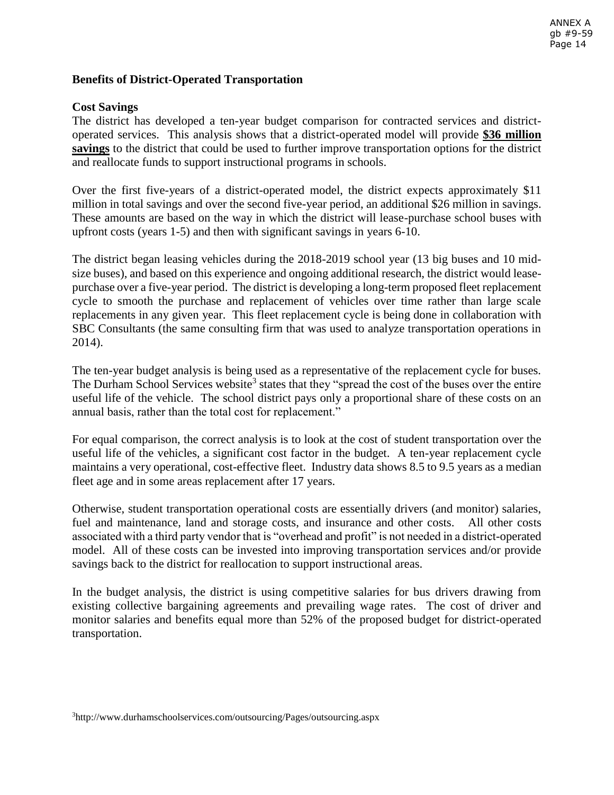## **Benefits of District-Operated Transportation**

#### **Cost Savings**

The district has developed a ten-year budget comparison for contracted services and districtoperated services. This analysis shows that a district-operated model will provide **\$36 million savings** to the district that could be used to further improve transportation options for the district and reallocate funds to support instructional programs in schools.

Over the first five-years of a district-operated model, the district expects approximately \$11 million in total savings and over the second five-year period, an additional \$26 million in savings. These amounts are based on the way in which the district will lease-purchase school buses with upfront costs (years 1-5) and then with significant savings in years 6-10.

The district began leasing vehicles during the 2018-2019 school year (13 big buses and 10 midsize buses), and based on this experience and ongoing additional research, the district would leasepurchase over a five-year period. The district is developing a long-term proposed fleet replacement cycle to smooth the purchase and replacement of vehicles over time rather than large scale replacements in any given year. This fleet replacement cycle is being done in collaboration with SBC Consultants (the same consulting firm that was used to analyze transportation operations in 2014).

The ten-year budget analysis is being used as a representative of the replacement cycle for buses. The Durham School Services website<sup>3</sup> states that they "spread the cost of the buses over the entire useful life of the vehicle. The school district pays only a proportional share of these costs on an annual basis, rather than the total cost for replacement."

For equal comparison, the correct analysis is to look at the cost of student transportation over the useful life of the vehicles, a significant cost factor in the budget. A ten-year replacement cycle maintains a very operational, cost-effective fleet. Industry data shows 8.5 to 9.5 years as a median fleet age and in some areas replacement after 17 years.

Otherwise, student transportation operational costs are essentially drivers (and monitor) salaries, fuel and maintenance, land and storage costs, and insurance and other costs. All other costs associated with a third party vendor that is "overhead and profit" is not needed in a district-operated model. All of these costs can be invested into improving transportation services and/or provide savings back to the district for reallocation to support instructional areas.

In the budget analysis, the district is using competitive salaries for bus drivers drawing from existing collective bargaining agreements and prevailing wage rates. The cost of driver and monitor salaries and benefits equal more than 52% of the proposed budget for district-operated transportation.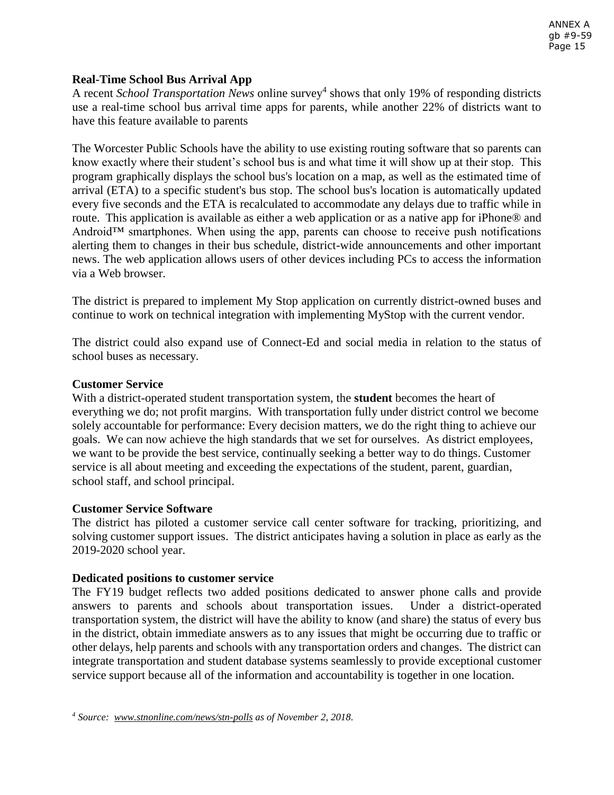## **Real-Time School Bus Arrival App**

A recent *School Transportation News* online survey<sup>4</sup> shows that only 19% of responding districts use a real-time school bus arrival time apps for parents, while another 22% of districts want to have this feature available to parents

The Worcester Public Schools have the ability to use existing routing software that so parents can know exactly where their student's school bus is and what time it will show up at their stop. This program graphically displays the school bus's location on a map, as well as the estimated time of arrival (ETA) to a specific student's bus stop. The school bus's location is automatically updated every five seconds and the ETA is recalculated to accommodate any delays due to traffic while in route. This application is available as either a web application or as a native app for iPhone® and Android™ smartphones. When using the app, parents can choose to receive push notifications alerting them to changes in their bus schedule, district-wide announcements and other important news. The web application allows users of other devices including PCs to access the information via a Web browser.

The district is prepared to implement My Stop application on currently district-owned buses and continue to work on technical integration with implementing MyStop with the current vendor.

The district could also expand use of Connect-Ed and social media in relation to the status of school buses as necessary.

#### **Customer Service**

With a district-operated student transportation system, the **student** becomes the heart of everything we do; not profit margins. With transportation fully under district control we become solely accountable for performance: Every decision matters, we do the right thing to achieve our goals. We can now achieve the high standards that we set for ourselves. As district employees, we want to be provide the best service, continually seeking a better way to do things. Customer service is all about meeting and exceeding the expectations of the student, parent, guardian, school staff, and school principal.

## **Customer Service Software**

The district has piloted a customer service call center software for tracking, prioritizing, and solving customer support issues. The district anticipates having a solution in place as early as the 2019-2020 school year.

## **Dedicated positions to customer service**

The FY19 budget reflects two added positions dedicated to answer phone calls and provide answers to parents and schools about transportation issues. Under a district-operated transportation system, the district will have the ability to know (and share) the status of every bus in the district, obtain immediate answers as to any issues that might be occurring due to traffic or other delays, help parents and schools with any transportation orders and changes. The district can integrate transportation and student database systems seamlessly to provide exceptional customer service support because all of the information and accountability is together in one location.

*<sup>4</sup> Source: [www.stnonline.com/news/stn-polls](http://www.stnonline.com/news/stn-polls) as of November 2, 2018.*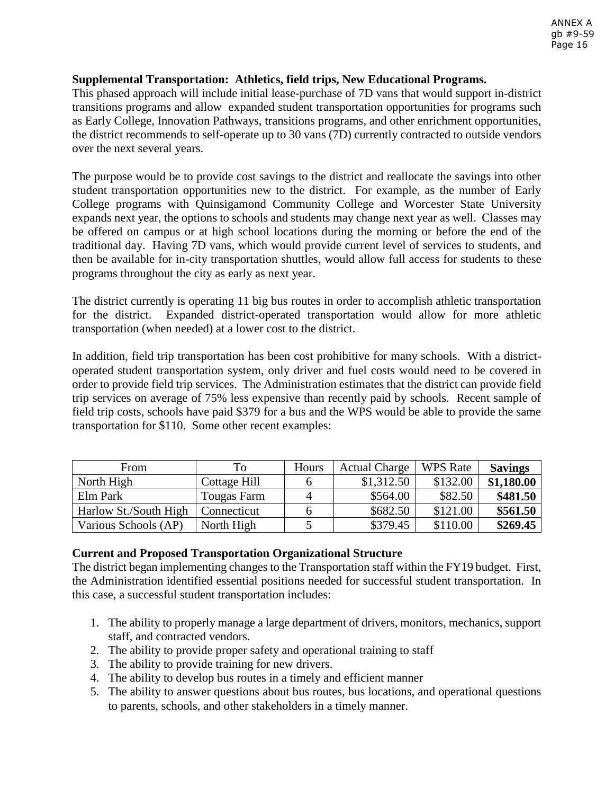## **Supplemental Transportation: Athletics, field trips, New Educational Programs.**

This phased approach will include initial lease-purchase of 7D vans that would support in-district transitions programs and allow expanded student transportation opportunities for programs such as Early College, Innovation Pathways, transitions programs, and other enrichment opportunities, the district recommends to self-operate up to 30 vans (7D) currently contracted to outside vendors over the next several years.

The purpose would be to provide cost savings to the district and reallocate the savings into other student transportation opportunities new to the district. For example, as the number of Early College programs with Quinsigamond Community College and Worcester State University expands next year, the options to schools and students may change next year as well. Classes may be offered on campus or at high school locations during the morning or before the end of the traditional day. Having 7D vans, which would provide current level of services to students, and then be available for in-city transportation shuttles, would allow full access for students to these programs throughout the city as early as next year.

The district currently is operating 11 big bus routes in order to accomplish athletic transportation for the district. Expanded district-operated transportation would allow for more athletic transportation (when needed) at a lower cost to the district.

In addition, field trip transportation has been cost prohibitive for many schools. With a districtoperated student transportation system, only driver and fuel costs would need to be covered in order to provide field trip services. The Administration estimates that the district can provide field trip services on average of 75% less expensive than recently paid by schools. Recent sample of field trip costs, schools have paid \$379 for a bus and the WPS would be able to provide the same transportation for \$110. Some other recent examples:

| From                  | To           | Hours | <b>Actual Charge</b> | <b>WPS</b> Rate | <b>Savings</b> |
|-----------------------|--------------|-------|----------------------|-----------------|----------------|
| North High            | Cottage Hill |       | \$1,312.50           | \$132.00        | \$1,180.00     |
| Elm Park              | Tougas Farm  |       | \$564.00             | \$82.50         | \$481.50       |
| Harlow St./South High | Connecticut  |       | \$682.50             | \$121.00        | \$561.50       |
| Various Schools (AP)  | North High   |       | \$379.45             | \$110.00        | \$269.45       |

## **Current and Proposed Transportation Organizational Structure**

The district began implementing changes to the Transportation staff within the FY19 budget. First, the Administration identified essential positions needed for successful student transportation. In this case, a successful student transportation includes:

- 1. The ability to properly manage a large department of drivers, monitors, mechanics, support staff, and contracted vendors.
- 2. The ability to provide proper safety and operational training to staff
- 3. The ability to provide training for new drivers.
- 4. The ability to develop bus routes in a timely and efficient manner
- 5. The ability to answer questions about bus routes, bus locations, and operational questions to parents, schools, and other stakeholders in a timely manner.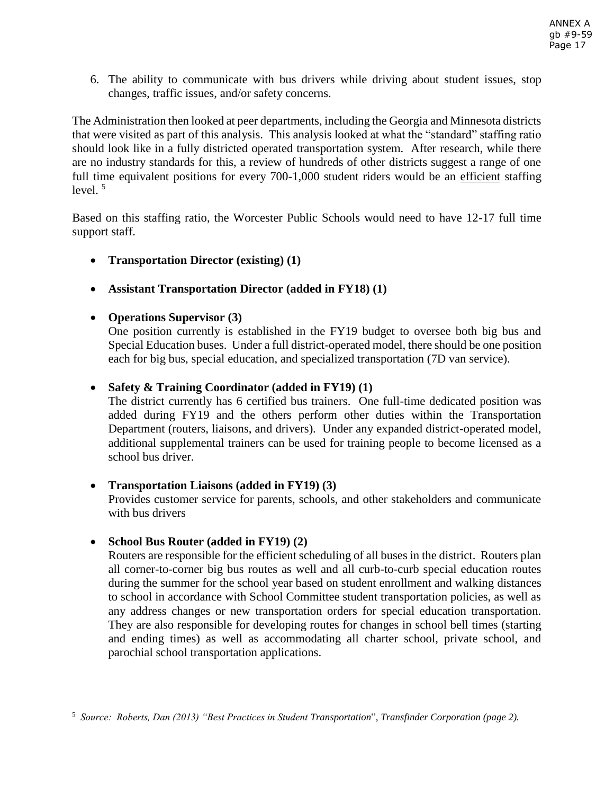6. The ability to communicate with bus drivers while driving about student issues, stop changes, traffic issues, and/or safety concerns.

The Administration then looked at peer departments, including the Georgia and Minnesota districts that were visited as part of this analysis. This analysis looked at what the "standard" staffing ratio should look like in a fully districted operated transportation system. After research, while there are no industry standards for this, a review of hundreds of other districts suggest a range of one full time equivalent positions for every 700-1,000 student riders would be an efficient staffing level.  $5$ 

Based on this staffing ratio, the Worcester Public Schools would need to have 12-17 full time support staff.

- **Transportation Director (existing) (1)**
- **Assistant Transportation Director (added in FY18) (1)**

# **Operations Supervisor (3)**

One position currently is established in the FY19 budget to oversee both big bus and Special Education buses. Under a full district-operated model, there should be one position each for big bus, special education, and specialized transportation (7D van service).

## **Safety & Training Coordinator (added in FY19) (1)**

The district currently has 6 certified bus trainers. One full-time dedicated position was added during FY19 and the others perform other duties within the Transportation Department (routers, liaisons, and drivers). Under any expanded district-operated model, additional supplemental trainers can be used for training people to become licensed as a school bus driver.

## **Transportation Liaisons (added in FY19) (3)**

Provides customer service for parents, schools, and other stakeholders and communicate with bus drivers

**School Bus Router (added in FY19) (2)**

Routers are responsible for the efficient scheduling of all buses in the district. Routers plan all corner-to-corner big bus routes as well and all curb-to-curb special education routes during the summer for the school year based on student enrollment and walking distances to school in accordance with School Committee student transportation policies, as well as any address changes or new transportation orders for special education transportation. They are also responsible for developing routes for changes in school bell times (starting and ending times) as well as accommodating all charter school, private school, and parochial school transportation applications.

<sup>5</sup> *Source: Roberts, Dan (2013) "Best Practices in Student Transportation*", *Transfinder Corporation (page 2).*